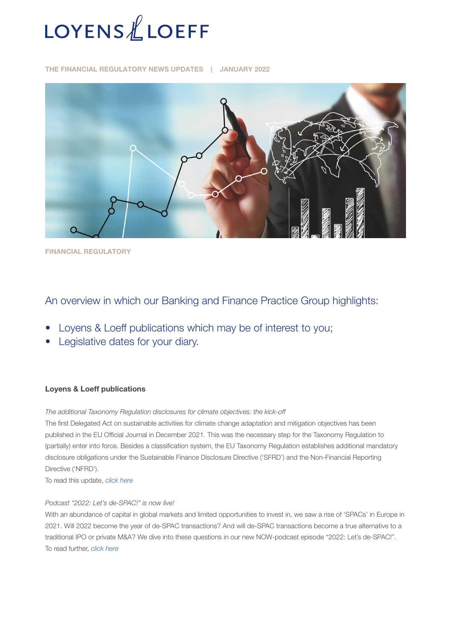

THE FINANCIAL REGULATORY NEWS UPDATES | JANUARY 2022



FINANCIAL REGULATORY

# An overview in which our Banking and Finance Practice Group highlights:

- Loyens & Loeff publications which may be of interest to you;
- Legislative dates for your diary.

## Loyens & Loeff publications

*The additional Taxonomy Regulation disclosures for climate objectives: the kick-off*

The first Delegated Act on sustainable activities for climate change adaptation and mitigation objectives has been published in the EU Official Journal in December 2021. This was the necessary step for the Taxonomy Regulation to (partially) enter into force. Besides a classification system, the EU Taxonomy Regulation establishes additional mandatory disclosure obligations under the Sustainable Finance Disclosure Directive ('SFRD') and the Non-Financial Reporting Directive ('NFRD').

To read this update, *[click here](https://www.loyensloeff.com/en/en/news/news-articles/the-additional-taxonomy-regulation-disclosures-for-climate-objectives-the-kick-off-n24662/?utm_medium=social&utm_source=linkedin&utm_campaign=taxonomy_regulation_climate_28012022_be_en)*

## *Podcast "2022: Let's de-SPAC!" is now live!*

With an abundance of capital in global markets and limited opportunities to invest in, we saw a rise of 'SPACs' in Europe in 2021. Will 2022 become the year of de-SPAC transactions? And will de-SPAC transactions become a true alternative to a traditional IPO or private M&A? We dive into these questions in our new NOW-podcast episode "2022: Let's de-SPAC!". To read further, *[click here](https://www.loyensloeff.com/en/en/news/news-articles/podcast-2022-let-s-de-spac-is-now-live-n24626/)*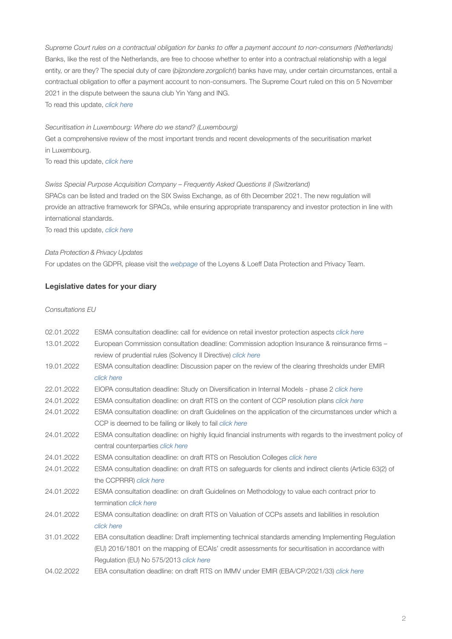*Supreme Court rules on a contractual obligation for banks to offer a payment account to non-consumers (Netherlands)* Banks, like the rest of the Netherlands, are free to choose whether to enter into a contractual relationship with a legal entity, or are they? The special duty of care (*bijzondere zorgplicht*) banks have may, under certain circumstances, entail a contractual obligation to offer a payment account to non-consumers. The Supreme Court ruled on this on 5 November 2021 in the dispute between the sauna club Yin Yang and ING. To read this update, *[click here](https://www.loyensloeff.com/en/en/news/news-articles/the-supreme-court-rules-on-a-contractual-obligation-for-banks-to-offer-a-payment-account-to-non-consumers-n24547/)*

#### *Securitisation in Luxembourg: Where do we stand? (Luxembourg)*

Get a comprehensive review of the most important trends and recent developments of the securitisation market in Luxembourg.

To read this update, *[click here](https://www.loyensloeff.com/en/en/news/news-articles/securitisation-in-luxembourg-where-do-we-stand-n24540/)*

## *Swiss Special Purpose Acquisition Company – Frequently Asked Questions II (Switzerland)*

SPACs can be listed and traded on the SIX Swiss Exchange, as of 6th December 2021. The new regulation will provide an attractive framework for SPACs, while ensuring appropriate transparency and investor protection in line with international standards.

To read this update, *[click here](https://www.loyensloeff.com/ch/en/news/swiss-special-purpose-acquisition-company-frequently-asked-questions-ii-n24594/)*

#### *Data Protection & Privacy Updates*

For updates on the GDPR, please visit the *[webpage](https://www.loyensloeff.com/en/en/expertise/topics/data-protection-privacy/)* of the Loyens & Loeff Data Protection and Privacy Team.

## Legislative dates for your diary

*Consultations EU*

| 02.01.2022 | ESMA consultation deadline: call for evidence on retail investor protection aspects click here              |  |  |
|------------|-------------------------------------------------------------------------------------------------------------|--|--|
| 13.01.2022 | European Commission consultation deadline: Commission adoption Insurance & reinsurance firms -              |  |  |
|            | review of prudential rules (Solvency II Directive) click here                                               |  |  |
| 19.01.2022 | ESMA consultation deadline: Discussion paper on the review of the clearing thresholds under EMIR            |  |  |
|            | click here                                                                                                  |  |  |
| 22.01.2022 | EIOPA consultation deadline: Study on Diversification in Internal Models - phase 2 click here               |  |  |
| 24.01.2022 | ESMA consultation deadline: on draft RTS on the content of CCP resolution plans click here                  |  |  |
| 24.01.2022 | ESMA consultation deadline: on draft Guidelines on the application of the circumstances under which a       |  |  |
|            | CCP is deemed to be failing or likely to fail <i>click here</i>                                             |  |  |
| 24.01.2022 | ESMA consultation deadline: on highly liquid financial instruments with regards to the investment policy of |  |  |
|            | central counterparties click here                                                                           |  |  |
| 24.01.2022 | ESMA consultation deadline: on draft RTS on Resolution Colleges click here                                  |  |  |
| 24.01.2022 | ESMA consultation deadline: on draft RTS on safeguards for clients and indirect clients (Article 63(2) of   |  |  |
|            | the CCPRRR) click here                                                                                      |  |  |
| 24.01.2022 | ESMA consultation deadline: on draft Guidelines on Methodology to value each contract prior to              |  |  |
|            | termination click here                                                                                      |  |  |
| 24.01.2022 | ESMA consultation deadline; on draft RTS on Valuation of CCPs assets and liabilities in resolution          |  |  |
|            | click here                                                                                                  |  |  |
| 31.01.2022 | EBA consultation deadline: Draft implementing technical standards amending Implementing Regulation          |  |  |
|            | (EU) 2016/1801 on the mapping of ECAIs' credit assessments for securitisation in accordance with            |  |  |
|            | Regulation (EU) No 575/2013 click here                                                                      |  |  |
| 04.02.2022 | EBA consultation deadline: on draft RTS on IMMV under EMIR (EBA/CP/2021/33) click here                      |  |  |
|            |                                                                                                             |  |  |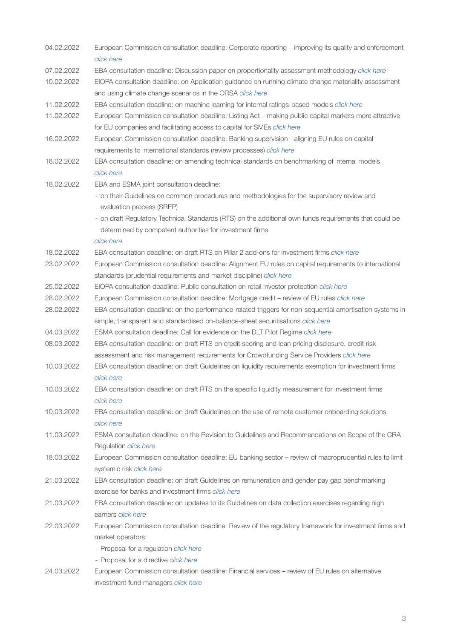| 04.02.2022 | European Commission consultation deadline: Corporate reporting - improving its quality and enforcement                                               |  |  |  |
|------------|------------------------------------------------------------------------------------------------------------------------------------------------------|--|--|--|
|            | click here                                                                                                                                           |  |  |  |
| 07.02.2022 | EBA consultation deadline: Discussion paper on proportionality assessment methodology click here                                                     |  |  |  |
| 10.02.2022 | EIOPA consultation deadline: on Application guidance on running climate change materiality assessment                                                |  |  |  |
|            | and using climate change scenarios in the ORSA click here                                                                                            |  |  |  |
| 11.02.2022 | EBA consultation deadline: on machine learning for internal ratings-based models click here                                                          |  |  |  |
| 11.02.2022 | European Commission consultation deadline: Listing Act - making public capital markets more attractive                                               |  |  |  |
|            | for EU companies and facilitating access to capital for SMEs click here                                                                              |  |  |  |
| 16.02.2022 | European Commission consultation deadline: Banking supervision - aligning EU rules on capital                                                        |  |  |  |
|            | requirements to international standards (review processes) click here                                                                                |  |  |  |
| 18.02.2022 | EBA consultation deadline: on amending technical standards on benchmarking of internal models<br>click here                                          |  |  |  |
|            |                                                                                                                                                      |  |  |  |
| 18.02.2022 | EBA and ESMA joint consultation deadline:                                                                                                            |  |  |  |
|            | - on their Guidelines on common procedures and methodologies for the supervisory review and<br>evaluation process (SREP)                             |  |  |  |
|            | - on draft Regulatory Technical Standards (RTS) on the additional own funds requirements that could be                                               |  |  |  |
|            | determined by competent authorities for investment firms                                                                                             |  |  |  |
|            | click here                                                                                                                                           |  |  |  |
| 18.02.2022 | EBA consultation deadline: on draft RTS on Pillar 2 add-ons for investment firms click here                                                          |  |  |  |
| 23.02.2022 | European Commission consultation deadline: Alignment EU rules on capital requirements to international                                               |  |  |  |
|            | standards (prudential requirements and market discipline) click here                                                                                 |  |  |  |
| 25.02.2022 | EIOPA consultation deadline: Public consultation on retail investor protection click here                                                            |  |  |  |
| 28.02.2022 | European Commission consultation deadline: Mortgage credit - review of EU rules click here                                                           |  |  |  |
| 28.02.2022 | EBA consultation deadline: on the performance-related triggers for non-sequential amortisation systems in                                            |  |  |  |
|            | simple, transparent and standardised on-balance-sheet securitisations click here                                                                     |  |  |  |
| 04.03.2022 | ESMA consultation deadline: Call for evidence on the DLT Pilot Regime click here                                                                     |  |  |  |
| 08.03.2022 | EBA consultation deadline: on draft RTS on credit scoring and loan pricing disclosure, credit risk                                                   |  |  |  |
|            | assessment and risk management requirements for Crowdfunding Service Providers click here                                                            |  |  |  |
| 10.03.2022 | EBA consultation deadline: on draft Guidelines on liquidity requirements exemption for investment firms                                              |  |  |  |
|            | click here                                                                                                                                           |  |  |  |
| 10.03.2022 | EBA consultation deadline: on draft RTS on the specific liquidity measurement for investment firms                                                   |  |  |  |
|            | click here                                                                                                                                           |  |  |  |
| 10.03.2022 | EBA consultation deadline: on draft Guidelines on the use of remote customer onboarding solutions                                                    |  |  |  |
|            | click here                                                                                                                                           |  |  |  |
| 11.03.2022 | ESMA consultation deadline: on the Revision to Guidelines and Recommendations on Scope of the CRA                                                    |  |  |  |
|            | Regulation click here                                                                                                                                |  |  |  |
| 18.03.2022 | European Commission consultation deadline: EU banking sector - review of macroprudential rules to limit                                              |  |  |  |
|            | systemic risk click here                                                                                                                             |  |  |  |
| 21.03.2022 | EBA consultation deadline: on draft Guidelines on remuneration and gender pay gap benchmarking<br>exercise for banks and investment firms click here |  |  |  |
| 21.03.2022 | EBA consultation deadline: on updates to its Guidelines on data collection exercises regarding high                                                  |  |  |  |
|            | earners click here                                                                                                                                   |  |  |  |
| 22.03.2022 | European Commission consultation deadline: Review of the regulatory framework for investment firms and                                               |  |  |  |
|            | market operators:                                                                                                                                    |  |  |  |
|            | - Proposal for a regulation click here                                                                                                               |  |  |  |
|            | - Proposal for a directive click here                                                                                                                |  |  |  |
| 24.03.2022 | European Commission consultation deadline: Financial services - review of EU rules on alternative                                                    |  |  |  |
|            | investment fund managers click here                                                                                                                  |  |  |  |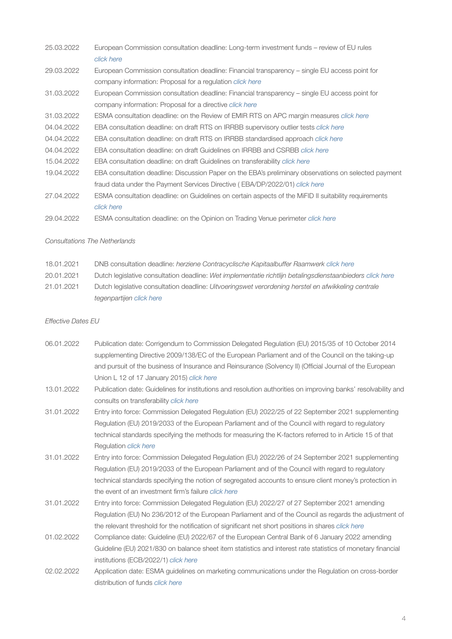| 25.03.2022 | European Commission consultation deadline: Long-term investment funds – review of EU rules            |
|------------|-------------------------------------------------------------------------------------------------------|
|            | click here                                                                                            |
| 29.03.2022 | European Commission consultation deadline: Financial transparency – single EU access point for        |
|            | company information: Proposal for a regulation click here                                             |
| 31.03.2022 | European Commission consultation deadline: Financial transparency – single EU access point for        |
|            | company information: Proposal for a directive click here                                              |
| 31.03.2022 | ESMA consultation deadline: on the Review of EMIR RTS on APC margin measures click here               |
| 04.04.2022 | EBA consultation deadline: on draft RTS on IRRBB supervisory outlier tests click here                 |
| 04.04.2022 | EBA consultation deadline: on draft RTS on IRRBB standardised approach click here                     |
| 04.04.2022 | EBA consultation deadline: on draft Guidelines on IRRBB and CSRBB <i>click here</i>                   |
| 15.04.2022 | EBA consultation deadline: on draft Guidelines on transferability click here                          |
| 19.04.2022 | EBA consultation deadline: Discussion Paper on the EBA's preliminary observations on selected payment |
|            | fraud data under the Payment Services Directive (EBA/DP/2022/01) click here                           |
| 27.04.2022 | ESMA consultation deadline: on Guidelines on certain aspects of the MiFID II suitability requirements |
|            | click here                                                                                            |
| 29.04.2022 | ESMA consultation deadline: on the Opinion on Trading Venue perimeter click here                      |

#### *Consultations The Netherlands*

| 18.01.2021 |  |  | DNB consultation deadline: herziene Contracvclische Kapitaalbuffer Raamwerk click here |
|------------|--|--|----------------------------------------------------------------------------------------|
|------------|--|--|----------------------------------------------------------------------------------------|

- 20.01.2021 Dutch legislative consultation deadline: *Wet implementatie richtlijn betalingsdienstaanbieders [click here](https://www.internetconsultatie.nl/betalingsdienstaanbieders)*
- 21.01.2021 Dutch legislative consultation deadline: *Uitvoeringswet verordening herstel en afwikkeling centrale tegenpartijen [click here](https://www.internetconsultatie.nl/uitvoeringswetc3r)*

#### *Effective Dates EU*

- 06.01.2022 Publication date: Corrigendum to Commission Delegated Regulation (EU) 2015/35 of 10 October 2014 supplementing Directive 2009/138/EC of the European Parliament and of the Council on the taking-up and pursuit of the business of Insurance and Reinsurance (Solvency II) (Official Journal of the European Union L 12 of 17 January 2015) *[click here](https://eur-lex.europa.eu/legal-content/EN/TXT/?uri=uriserv%3AOJ.L_.2022.002.01.0008.01.ENG&toc=OJ%3AL%3A2022%3A002%3ATOC)* 13.01.2022 Publication date: Guidelines for institutions and resolution authorities on improving banks' resolvability and
- consults on transferability *[click here](https://www.eba.europa.eu/eba-publishes-guidelines-institutions-and-resolution-authorities-improving-banks%E2%80%99-resolvability-and)*
- 31.01.2022 Entry into force: Commission Delegated Regulation (EU) 2022/25 of 22 September 2021 supplementing Regulation (EU) 2019/2033 of the European Parliament and of the Council with regard to regulatory technical standards specifying the methods for measuring the K-factors referred to in Article 15 of that Regulation *[click here](https://eur-lex.europa.eu/legal-content/EN/TXT/?uri=uriserv:OJ.L_.2022.006.01.0001.01.ENG)*
- 31.01.2022 Entry into force: Commission Delegated Regulation (EU) 2022/26 of 24 September 2021 supplementing Regulation (EU) 2019/2033 of the European Parliament and of the Council with regard to regulatory technical standards specifying the notion of segregated accounts to ensure client money's protection in the event of an investment firm's failure *[click here](https://eur-lex.europa.eu/legal-content/EN/TXT/?uri=uriserv:OJ.L_.2022.006.01.0007.01.ENG)*
- 31.01.2022 Entry into force: Commission Delegated Regulation (EU) 2022/27 of 27 September 2021 amending Regulation (EU) No 236/2012 of the European Parliament and of the Council as regards the adjustment of the relevant threshold for the notification of significant net short positions in shares *click [here](https://eur-lex.europa.eu/legal-content/EN/TXT/?uri=uriserv%3AOJ.L_.2022.006.01.0009.01.ENG&toc=OJ%3AL%3A2022%3A006%3ATOC)*
- 01.02.2022 Compliance date: Guideline (EU) 2022/67 of the European Central Bank of 6 January 2022 amending Guideline (EU) 2021/830 on balance sheet item statistics and interest rate statistics of monetary financial institutions (ECB/2022/1) *[click here](https://eur-lex.europa.eu/legal-content/EN/TXT/?uri=uriserv%3AOJ.L_.2022.011.01.0056.01.ENG&toc=OJ%3AL%3A2022%3A011%3ATOC)*
- 02.02.2022 Application date: ESMA guidelines on marketing communications under the Regulation on cross-border distribution of funds *[click here](https://www.esma.europa.eu/sites/default/files/library/esma34-45-1272_guidelines_on_marketing_communications.pdf)*